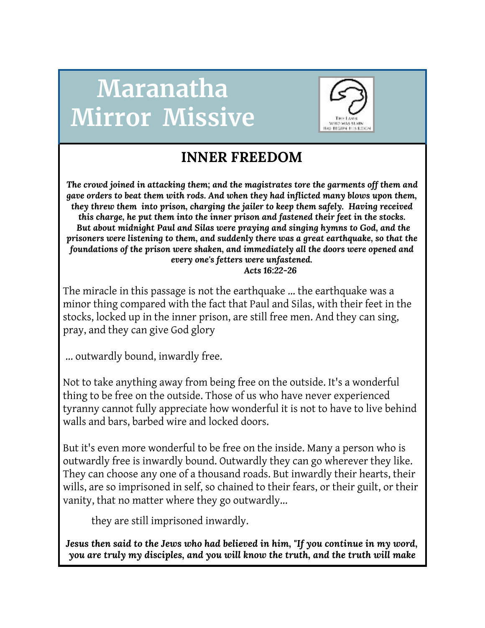# **Maranatha Mirror Missive**



# **INNER FREEDOM**

*The crowd joined in attacking them; and the magistrates tore the garments off them and gave orders to beat them with rods. And when they had inflicted many blows upon them, they threw them into prison, charging the jailer to keep them safely. Having received this charge, he put them into the inner prison and fastened their feet in the stocks. But about midnight Paul and Silas were praying and singing hymns to God, and the prisoners were listening to them, and suddenly there was a great earthquake, so that the foundations of the prison were shaken, and immediately all the doors were opened and every one's fetters were unfastened. Acts 16:22-26*

The miracle in this passage is not the earthquake ... the earthquake was a minor thing compared with the fact that Paul and Silas, with their feet in the stocks, locked up in the inner prison, are still free men. And they can sing, pray, and they can give God glory

... outwardly bound, inwardly free.

Not to take anything away from being free on the outside. It's a wonderful thing to be free on the outside. Those of us who have never experienced tyranny cannot fully appreciate how wonderful it is not to have to live behind walls and bars, barbed wire and locked doors.

But it's even more wonderful to be free on the inside. Many a person who is outwardly free is inwardly bound. Outwardly they can go wherever they like. They can choose any one of a thousand roads. But inwardly their hearts, their wills, are so imprisoned in self, so chained to their fears, or their guilt, or their vanity, that no matter where they go outwardly...

they are still imprisoned inwardly.

*Jesus then said to the Jews who had believed in him, "If you continue in my word, you are truly my disciples, and you will know the truth, and the truth will make*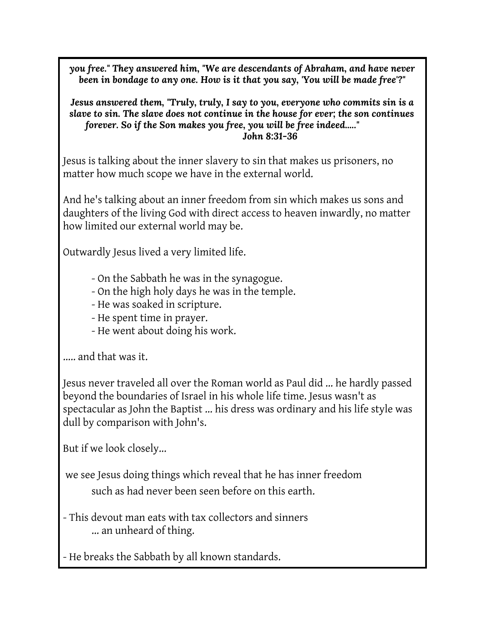*you free." They answered him, "We are descendants of Abraham, and have never been in bondage to any one. How is it that you say, 'You will be made free'?"*

*Jesus answered them, "Truly, truly, I say to you, everyone who commits sin is a slave to sin. The slave does not continue in the house for ever; the son continues forever. So if the Son makes you free, you will be free indeed....." John 8:31-36*

Jesus is talking about the inner slavery to sin that makes us prisoners, no matter how much scope we have in the external world.

And he's talking about an inner freedom from sin which makes us sons and daughters of the living God with direct access to heaven inwardly, no matter how limited our external world may be.

Outwardly Jesus lived a very limited life.

- On the Sabbath he was in the synagogue.
- On the high holy days he was in the temple.
- He was soaked in scripture.
- He spent time in prayer.
- He went about doing his work.

..... and that was it.

Jesus never traveled all over the Roman world as Paul did ... he hardly passed beyond the boundaries of Israel in his whole life time. Jesus wasn't as spectacular as John the Baptist ... his dress was ordinary and his life style was dull by comparison with John's.

But if we look closely...

we see Jesus doing things which reveal that he has inner freedom such as had never been seen before on this earth.

- This devout man eats with tax collectors and sinners ... an unheard of thing.

- He breaks the Sabbath by all known standards.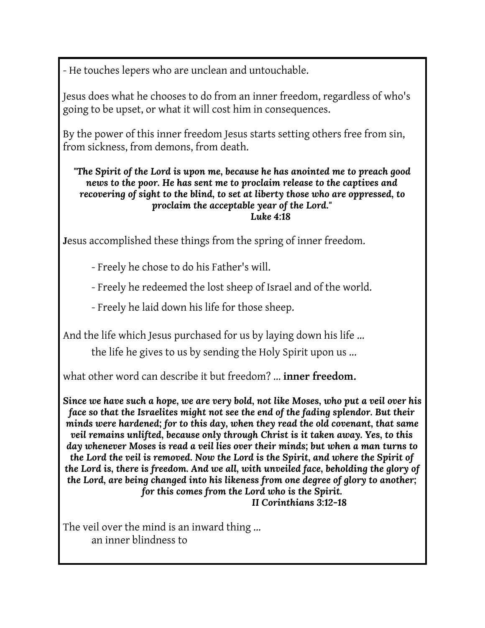- He touches lepers who are unclean and untouchable.

Jesus does what he chooses to do from an inner freedom, regardless of who's going to be upset, or what it will cost him in consequences.

By the power of this inner freedom Jesus starts setting others free from sin, from sickness, from demons, from death.

*"The Spirit of the Lord is upon me, because he has anointed me to preach good news to the poor. He has sent me to proclaim release to the captives and recovering of sight to the blind, to set at liberty those who are oppressed, to proclaim the acceptable year of the Lord." Luke 4:18*

**J**esus accomplished these things from the spring of inner freedom.

- Freely he chose to do his Father's will.

- Freely he redeemed the lost sheep of Israel and of the world.

- Freely he laid down his life for those sheep.

And the life which Jesus purchased for us by laying down his life ...

the life he gives to us by sending the Holy Spirit upon us ...

what other word can describe it but freedom? ... **inner freedom.**

*Since we have such a hope, we are very bold, not like Moses, who put a veil over his face so that the Israelites might not see the end of the fading splendor. But their minds were hardened; for to this day, when they read the old covenant, that same veil remains unlifted, because only through Christ is it taken away. Yes, to this day whenever Moses is read a veil lies over their minds; but when a man turns to the Lord the veil is removed. Now the Lord is the Spirit, and where the Spirit of the Lord is, there is freedom. And we all, with unveiled face, beholding the glory of the Lord, are being changed into his likeness from one degree of glory to another; for this comes from the Lord who is the Spirit.*

*II Corinthians 3:12-18*

The veil over the mind is an inward thing ... an inner blindness to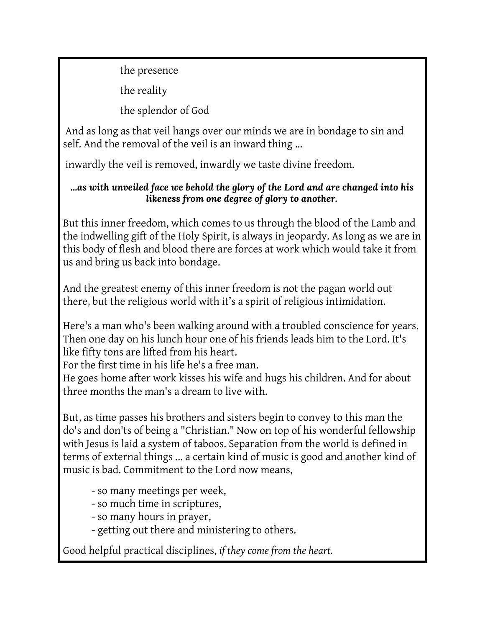the presence

the reality

the splendor of God

And as long as that veil hangs over our minds we are in bondage to sin and self. And the removal of the veil is an inward thing …

inwardly the veil is removed, inwardly we taste divine freedom**.**

#### *...as with unveiled face we behold the glory of the Lord and are changed into his likeness from one degree of glory to another.*

But this inner freedom, which comes to us through the blood of the Lamb and the indwelling gift of the Holy Spirit, is always in jeopardy. As long as we are in this body of flesh and blood there are forces at work which would take it from us and bring us back into bondage.

And the greatest enemy of this inner freedom is not the pagan world out there, but the religious world with it's a spirit of religious intimidation.

Here's a man who's been walking around with a troubled conscience for years. Then one day on his lunch hour one of his friends leads him to the Lord. It's like fifty tons are lifted from his heart.

For the first time in his life he's a free man.

He goes home after work kisses his wife and hugs his children. And for about three months the man's a dream to live with.

But, as time passes his brothers and sisters begin to convey to this man the do's and don'ts of being a "Christian." Now on top of his wonderful fellowship with Jesus is laid a system of taboos. Separation from the world is defined in terms of external things ... a certain kind of music is good and another kind of music is bad. Commitment to the Lord now means,

- so many meetings per week,
- so much time in scriptures,
- so many hours in prayer,
- getting out there and ministering to others.

Good helpful practical disciplines, *if they come from the heart.*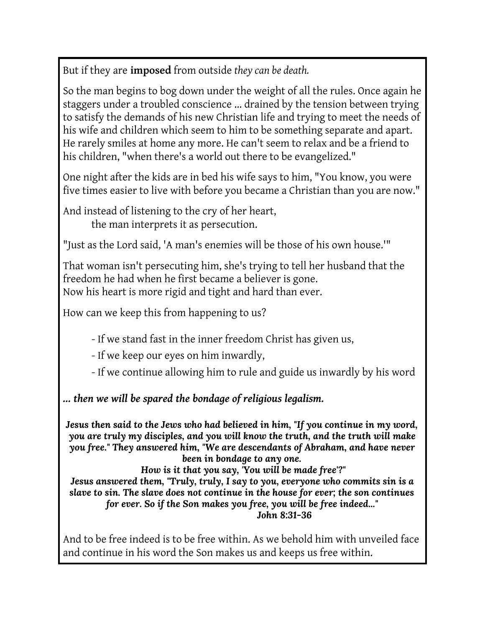But if they are **imposed** from outside *they can be death.*

So the man begins to bog down under the weight of all the rules. Once again he staggers under a troubled conscience ... drained by the tension between trying to satisfy the demands of his new Christian life and trying to meet the needs of his wife and children which seem to him to be something separate and apart. He rarely smiles at home any more. He can't seem to relax and be a friend to his children, "when there's a world out there to be evangelized."

One night after the kids are in bed his wife says to him, "You know, you were five times easier to live with before you became a Christian than you are now."

And instead of listening to the cry of her heart, the man interprets it as persecution.

"Just as the Lord said, 'A man's enemies will be those of his own house.'"

That woman isn't persecuting him, she's trying to tell her husband that the freedom he had when he first became a believer is gone. Now his heart is more rigid and tight and hard than ever.

How can we keep this from happening to us?

- If we stand fast in the inner freedom Christ has given us,

- If we keep our eyes on him inwardly,

- If we continue allowing him to rule and guide us inwardly by his word

*… then we will be spared the bondage of religious legalism.*

*Jesus then said to the Jews who had believed in him, "If you continue in my word, you are truly my disciples, and you will know the truth, and the truth will make you free." They answered him, "We are descendants of Abraham, and have never been in bondage to any one.*

*How is it that you say, 'You will be made free'?" Jesus answered them, "Truly, truly, I say to you, everyone who commits sin is a slave to sin. The slave does not continue in the house for ever; the son continues for ever. So if the Son makes you free, you will be free indeed..." John 8:31-36*

And to be free indeed is to be free within. As we behold him with unveiled face and continue in his word the Son makes us and keeps us free within.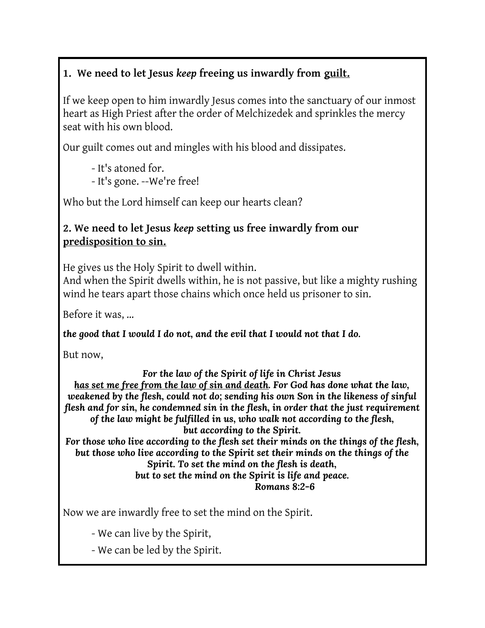## **1. We need to let Jesus** *keep* **freeing us inwardly from guilt.**

If we keep open to him inwardly Jesus comes into the sanctuary of our inmost heart as High Priest after the order of Melchizedek and sprinkles the mercy seat with his own blood.

Our guilt comes out and mingles with his blood and dissipates.

- It's atoned for.

- It's gone. --We're free!

Who but the Lord himself can keep our hearts clean?

#### **2. We need to let Jesus** *keep* **setting us free inwardly from our predisposition to sin.**

He gives us the Holy Spirit to dwell within.

And when the Spirit dwells within, he is not passive, but like a mighty rushing wind he tears apart those chains which once held us prisoner to sin.

Before it was, …

*the good that I would I do not, and the evil that I would not that I do.*

But now,

*For the law of the Spirit of life in Christ Jesus*

*has set me free from the law of sin and death. For God has done what the law, weakened by the flesh, could not do; sending his own Son in the likeness of sinful flesh and for sin, he condemned sin in the flesh, in order that the just requirement of the law might be fulfilled in us, who walk not according to the flesh, but according to the Spirit.*

*For those who live according to the flesh set their minds on the things of the flesh, but those who live according to the Spirit set their minds on the things of the Spirit. To set the mind on the flesh is death, but to set the mind on the Spirit is life and peace. Romans 8:2-6*

Now we are inwardly free to set the mind on the Spirit.

- We can live by the Spirit,

- We can be led by the Spirit.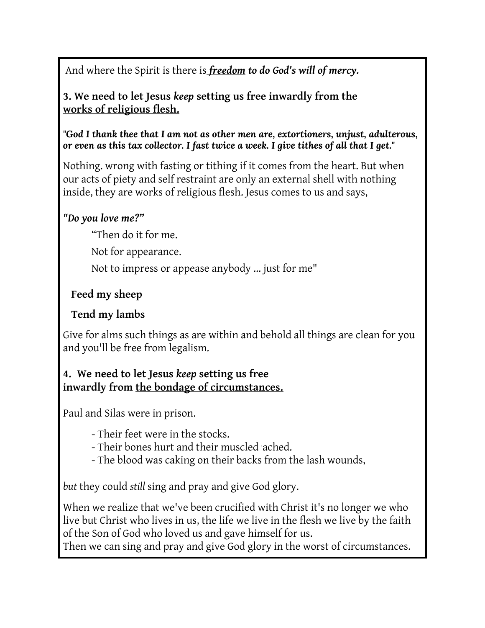And where the Spirit is there is *freedom to do God's will of mercy.*

**3. We need to let Jesus** *keep* **setting us free inwardly from the works of religious flesh.**

*"God I thank thee that I am not as other men are, extortioners, unjust, adulterous, or even as this tax collector. I fast twice a week. I give tithes of all that I get."*

Nothing. wrong with fasting or tithing if it comes from the heart. But when our acts of piety and self restraint are only an external shell with nothing inside, they are works of religious flesh. Jesus comes to us and says,

#### *"Do you love me?"*

"Then do it for me.

Not for appearance.

Not to impress or appease anybody ... just for me"

### **Feed my sheep**

#### **Tend my lambs**

Give for alms such things as are within and behold all things are clean for you and you'll be free from legalism.

#### **4. We need to let Jesus** *keep* **setting us free inwardly from the bondage of circumstances.**

Paul and Silas were in prison.

- Their feet were in the stocks.
- Their bones hurt and their muscled ached.
- The blood was caking on their backs from the lash wounds,

*but* they could *still* sing and pray and give God glory.

When we realize that we've been crucified with Christ it's no longer we who live but Christ who lives in us, the life we live in the flesh we live by the faith of the Son of God who loved us and gave himself for us.

Then we can sing and pray and give God glory in the worst of circumstances.